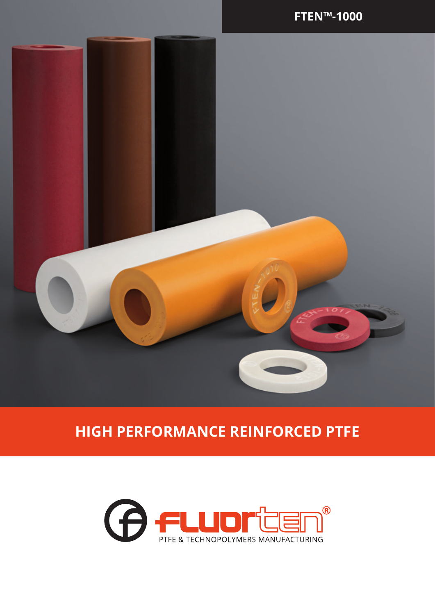

## **HIGH PERFORMANCE REINFORCED PTFE**